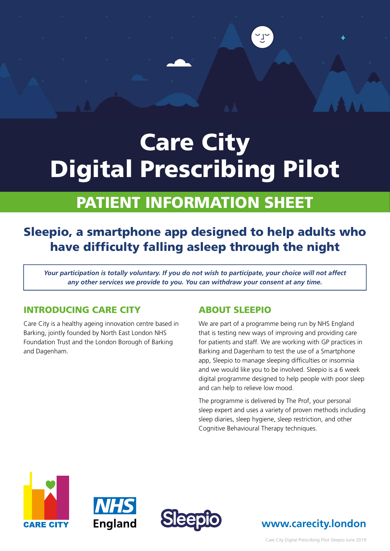# Care City Digital Prescribing Pilot

# PATIENT INFORMATION SHEET

# Sleepio, a smartphone app designed to help adults who have difficulty falling asleep through the night

*Your participation is totally voluntary. If you do not wish to participate, your choice will not affect any other services we provide to you. You can withdraw your consent at any time.*

## INTRODUCING CARE CITY

Care City is a healthy ageing innovation centre based in Barking, jointly founded by North East London NHS Foundation Trust and the London Borough of Barking and Dagenham.

## ABOUT SLEEPIO

We are part of a programme being run by NHS England that is testing new ways of improving and providing care for patients and staff. We are working with GP practices in Barking and Dagenham to test the use of a Smartphone app, Sleepio to manage sleeping difficulties or insomnia and we would like you to be involved. Sleepio is a 6 week digital programme designed to help people with poor sleep and can help to relieve low mood.

The programme is delivered by The Prof, your personal sleep expert and uses a variety of proven methods including sleep diaries, sleep hygiene, sleep restriction, and other Cognitive Behavioural Therapy techniques.







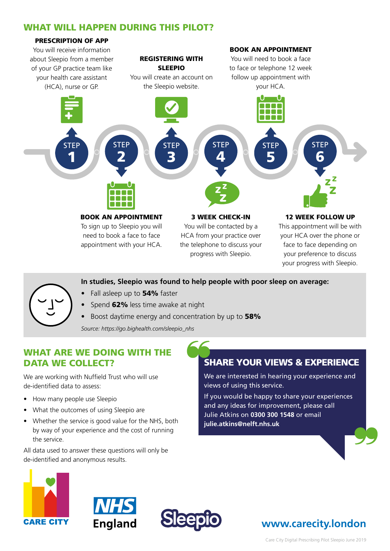# WHAT WILL HAPPEN DURING THIS PILOT?



#### **In studies, Sleepio was found to help people with poor sleep on average:**

- Fall asleep up to 54% faster
- Spend 62% less time awake at night
- Boost daytime energy and concentration by up to 58%

*Source: https://go.bighealth.com/sleepio\_nhs*

## WHAT ARE WE DOING WITH THE DATA WE COLLECT?

We are working with Nuffield Trust who will use de-identified data to assess:

- How many people use Sleepio
- What the outcomes of using Sleepio are
- Whether the service is good value for the NHS, both by way of your experience and the cost of running the service.

All data used to answer these questions will only be de-identified and anonymous results.

# SHARE YOUR VIEWS & EXPERIENCE

We are interested in hearing your experience and views of using this service.

If you would be happy to share your experiences and any ideas for improvement, please call Julie Atkins on **0300 300 1548** or email **julie.atkins@nelft.nhs.uk**







# **www.carecity.london**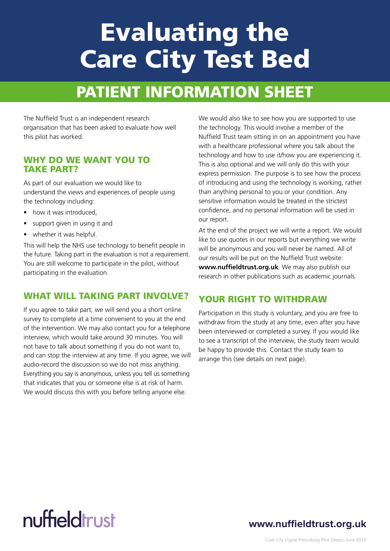# Evaluating the Care City Test Bed

# PATIENT INFORMATION SHEET

The Nuffield Trust is an independent research organisation that has been asked to evaluate how well this pilot has worked.

#### TAKE PART? WHY DO WE WANT YOU TO

As part of our evaluation we would like to understand the views and experiences of people using the technology including:

- how it was introduced.
- support given in using it and
- whether it was helpful.

This will help the NHS use technology to benefit people in the future. Taking part in the evaluation is not a requirement. You are still welcome to participate in the pilot, without participating in the evaluation.

## WHAT WILL TAKING PART INVOLVE?

If you agree to take part, we will send you a short online survey to complete at a time convenient to you at the end of the intervention. We may also contact you for a telephone interview, which would take around 30 minutes. You will not have to talk about something if you do not want to, and can stop the interview at any time. If you agree, we will audio-record the discussion so we do not miss anything. Everything you say is anonymous, unless you tell us something that indicates that you or someone else is at risk of harm. We would discuss this with you before telling anyone else.

We would also like to see how you are supported to use the technology. This would involve a member of the Nuffield Trust team sitting in on an appointment you have with a healthcare professional where you talk about the technology and how to use it/how you are experiencing it. This is also optional and we will only do this with your express permission. The purpose is to see how the process of introducing and using the technology is working, rather than anything personal to you or your condition. Any sensitive information would be treated in the strictest confidence, and no personal information will be used in our report.

At the end of the project we will write a report. We would like to use quotes in our reports but everything we write will be anonymous and you will never be named. All of our results will be put on the Nuffield Trust website: **www.nuffieldtrust.org.uk**. We may also publish our research in other publications such as academic journals.

## YOUR RIGHT TO WITHDRAW

Participation in this study is voluntary, and you are free to withdraw from the study at any time, even after you have been interviewed or completed a survey. If you would like to see a transcript of the interview, the study team would be happy to provide this. Contact the study team to arrange this (see details on next page).

# nuffieldtrust

# **www.nuffieldtrust.org.uk**